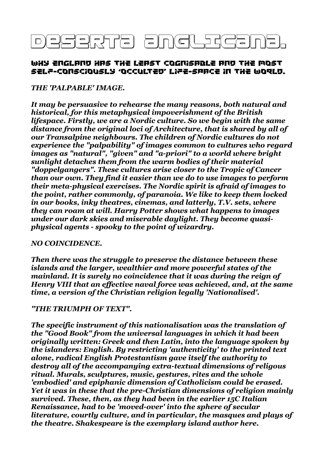# DESERTA ANGLEST

## WHY ENGLAND HAS THE LEAST COGNISABLE AND THE MOST SELp-CONSCIOUSLY 'OCCULTED' LIpE-SPaCE IN THE WORLD.

#### *THE 'PALPABLE' IMAGE.*

*It may be persuasive to rehearse the many reasons, both natural and historical, for this metaphysical impoverishment of the British lifespace. Firstly, we are a Nordic culture. So we begin with the same distance from the original loci of Architecture, that is shared by all of our Transalpine neighbours. The children of Nordic cultures do not experience the "palpability" of images common to cultures who regard images as "natural", "given" and "a-priori" to a world where bright sunlight detaches them from the warm bodies of their material "doppelgangers". These cultures arise closer to the Tropic of Cancer than our own. They find it easier than we do to use images to perform their meta-physical exercises. The Nordic spirit is afraid of images to the point, rather commonly, of paranoia. We like to keep them locked in our books, inky theatres, cinemas, and latterly, T.V. sets, where they can roam at will. Harry Potter shows what happens to images under our dark skies and miserable daylight. They become quasiphysical agents - spooky to the point of wizardry.* 

#### *NO COINCIDENCE.*

*Then there was the struggle to preserve the distance between these islands and the larger, wealthier and more powerful states of the mainland. It is surely no coincidence that it was during the reign of Henry VIII that an effective naval force was achieved, and, at the same time, a version of the Christian religion legally 'Nationalised'.* 

#### *"THE TRIUMPH OF TEXT".*

*The specific instrument of this nationalisation was the translation of the "Good Book" from the universal languages in which it had been originally written: Greek and then Latin, into the language spoken by the islanders: English. By restricting 'authenticity' to the printed text alone, radical English Protestantism gave itself the authority to destroy all of the accompanying extra-textual dimensions of religous ritual. Murals, sculptures, music, gestures, rites and the whole 'embodied' and epiphanic dimension of Catholicism could be erased. Yet it was in these that the pre-Christian dimensions of religion mainly survived. These, then, as they had been in the earlier 15C Italian Renaissance, had to be 'moved-over' into the sphere of secular literature, courtly culture, and in particular, the masques and plays of the theatre. Shakespeare is the exemplary island author here.*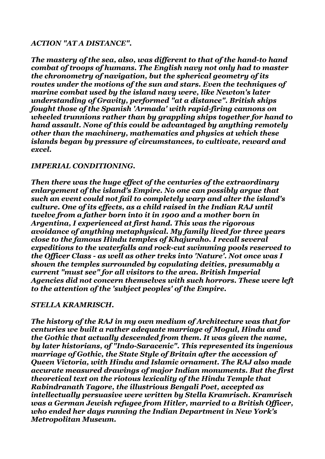## *ACTION "AT A DISTANCE".*

*The mastery of the sea, also, was different to that of the hand-to hand combat of troops of humans. The English navy not only had to master the chronometry of navigation, but the spherical geometry of its routes under the motions of the sun and stars. Even the techniques of marine combat used by the island navy were, like Newton's later understanding of Gravity, performed "at a distance". British ships fought those of the Spanish 'Armada' with rapid-firing cannons on wheeled trunnions rather than by grappling ships together for hand to hand assault. None of this could be advantaged by anything remotely other than the machinery, mathematics and physics at which these islands began by pressure of circumstances, to cultivate, reward and excel.*

#### *IMPERIAL CONDITIONING.*

*Then there was the huge effect of the centuries of the extraordinary enlargement of the island's Empire. No one can possibly argue that such an event could not fail to completely warp and alter the island's culture. One of its effects, as a child raised in the Indian RAJ until twelve from a father born into it in 1900 and a mother born in Argentina, I experienced at first hand. This was the rigorous avoidance of anything metaphysical. My family lived for three years close to the famous Hindu temples of Khajuraho. I recall several expeditions to the waterfalls and rock-cut swimming pools reserved to the Officer Class - as well as other treks into 'Nature'. Not once was I shown the temples surrounded by copulating deities, presumably a current "must see" for all visitors to the area. British Imperial Agencies did not concern themselves with such horrors. These were left to the attention of the 'subject peoples' of the Empire.*

#### *STELLA KRAMRISCH.*

*The history of the RAJ in my own medium of Architecture was that for centuries we built a rather adequate marriage of Mogul, Hindu and the Gothic that actually descended from them. It was given the name, by later historians, of "Indo-Saracenic". This represented its ingenious marriage of Gothic, the State Style of Britain after the accession of Queen Victoria, with Hindu and Islamic ornament. The RAJ also made accurate measured drawings of major Indian monuments. But the first theoretical text on the riotous lexicality of the Hindu Temple that Rabindranath Tagore, the illustrious Bengali Poet, accepted as intellectually persuasive were written by Stella Kramrisch. Kramrisch was a German Jewish refugee from Hitler, married to a British Officer, who ended her days running the Indian Department in New York's Metropolitan Museum.*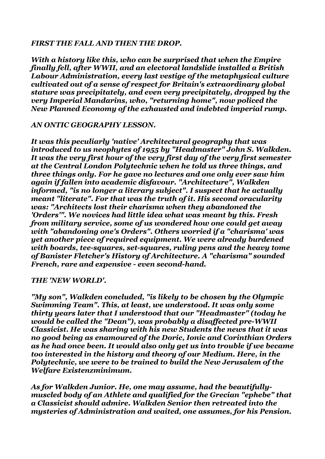## *FIRST THE FALL AND THEN THE DROP.*

*With a history like this, who can be surprised that when the Empire finally fell, after WWII, and an electoral landslide installed a British Labour Administration, every last vestige of the metaphysical culture cultivated out of a sense of respect for Britain's extraordinary global stature was precipitately, and even very precipitately, dropped by the very Imperial Mandarins, who, "returning home", now policed the New Planned Economy of the exhausted and indebted imperial rump.*

#### *AN ONTIC GEOGRAPHY LESSON.*

*It was this peculiarly 'native' Architectural geography that was introduced to us neophytes of 1955 by "Headmaster" John S. Walkden. It was the very first hour of the very first day of the very first semester at the Central London Polytechnic when he told us three things, and three things only. For he gave no lectures and one only ever saw him again if fallen into academic disfavour. "Architecture", Walkden informed, "is no longer a literary subject". I suspect that he actually meant "literate". For that was the truth of it. His second oracularity was: "Architects lost their charisma when they abandoned the 'Orders'". We novices had little idea what was meant by this. Fresh from military service, some of us wondered how one could get away with "abandoning one's Orders". Others worried if a "charisma' was yet another piece of required equipment. We were already burdened with boards, tee-squares, set-squares, ruling pens and the heavy tome of Banister Fletcher's History of Architecture. A "charisma" sounded French, rare and expensive - even second-hand.*

#### *THE 'NEW WORLD'.*

*"My son", Walkden concluded, "is likely to be chosen by the Olympic Swimming Team". This, at least, we understood. It was only some thirty years later that I understood that our "Headmaster" (today he would be called the "Dean"), was probably a disaffected pre-WWII Classicist. He was sharing with his new Students the news that it was no good being as enamoured of the Doric, Ionic and Corinthian Orders as he had once been. It would also only get us into trouble if we became too interested in the history and theory of our Medium. Here, in the Polytechnic, we were to be trained to build the New Jerusalem of the Welfare Existenzminimum.* 

*As for Walkden Junior. He, one may assume, had the beautifullymuscled body of an Athlete and qualified for the Grecian "ephebe" that a Classicist should admire. Walkden Senior then retreated into the mysteries of Administration and waited, one assumes, for his Pension.*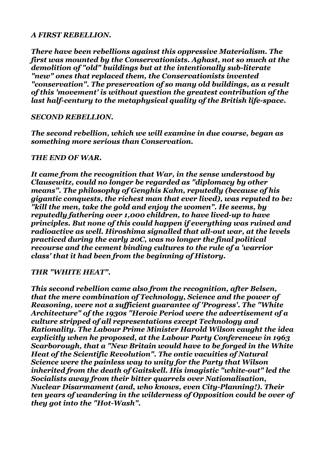#### *A FIRST REBELLION.*

*There have been rebellions against this oppressive Materialism. The first was mounted by the Conservationists. Aghast, not so much at the demolition of "old" buildings but at the intentionally sub-literate "new" ones that replaced them, the Conservationists invented "conservation". The preservation of so many old buildings, as a result of this 'movement' is without question the greatest contribution of the last half-century to the metaphysical quality of the British life-space.* 

## *SECOND REBELLION.*

*The second rebellion, which we will examine in due course, began as something more serious than Conservation.* 

#### *THE END OF WAR.*

*It came from the recognition that War, in the sense understood by Clausewitz, could no longer be regarded as "diplomacy by other means". The philosophy of Genghis Kahn, reputedly (because of his gigantic conquests, the richest man that ever lived), was reputed to be: "kill the men, take the gold and enjoy the women". He seems, by reputedly fathering over 1,000 children, to have lived-up to have principles. But none of this could happen if everything was ruined and radioactive as well. Hiroshima signalled that all-out war, at the levels practiced during the early 20C, was no longer the final political recourse and the cement binding cultures to the rule of a 'warrior class' that it had been from the beginning of History.*

#### *THR "WHITE HEAT".*

*This second rebellion came also from the recognition, after Belsen, that the mere combination of Technology, Science and the power of Reasoning, were not a sufficient guarantee of 'Progress'. The "White Architecture" of the 1930s "Heroic Period were the advertisement of a culture stripped of all representations except Technology and Rationality. The Labour Prime Minister Harold Wilson caught the idea explicitly when he proposed, at the Labour Party Conferencew in 1963 Scarborough, that a "New Britain would have to be forged in the White Heat of the Scientific Revolution". The ontic vacuities of Natural Science were the painless way to unity for the Party that Wilson inherited from the death of Gaitskell. His imagistic "white-out" led the Socialists away from their bitter quarrels over Nationalisation, Nuclear Disarmament (and, who knows, even City-Planning!). Their ten years of wandering in the wilderness of Opposition could be over of they got into the "Hot-Wash".*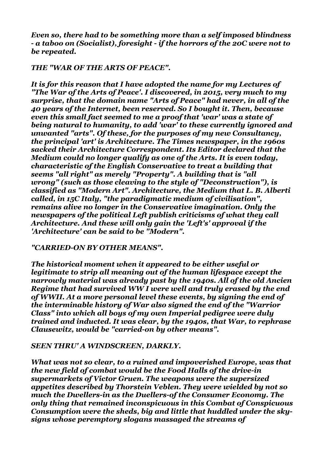*Even so, there had to be something more than a self imposed blindness - a taboo on (Socialist), foresight - if the horrors of the 20C were not to be repeated.*

# *THE "WAR OF THE ARTS OF PEACE".*

*It is for this reason that I have adopted the name for my Lectures of "The War of the Arts of Peace'. I discovered, in 2015, very much to my surprise, that the domain name "Arts of Peace" had never, in all of the 40 years of the Internet, been reserved. So I bought it. Then, because even this small fact seemed to me a proof that 'war' was a state of being natural to humanity, to add 'war' to these currently ignored and unwanted "arts". Of these, for the purposes of my new Consultancy, the principal 'art' is Architecture. The Times newspaper, in the 1960s sacked their Architecture Correspondent. Its Editor declared that the Medium could no longer qualify as one of the Arts. It is even today, characteristic of the English Conservative to treat a building that seems "all right" as merely "Property". A building that is "all wrong" (such as those cleaving to the style of "Deconstruction"), is classified as "Modern Art". Architecture, the Medium that L. B. Alberti called, in 15C Italy, "the paradigmatic medium of civilisation", remains alive no longer in the Conservative imagination. Only the newspapers of the political Left publish criticisms of what they call Architecture. And these will only gain the 'Left's' approval if the 'Architecture' can be said to be "Modern".*

*"CARRIED-ON BY OTHER MEANS".* 

*The historical moment when it appeared to be either useful or legitimate to strip all meaning out of the human lifespace except the narrowly material was already past by the 1940s. All of the old Ancien Regime that had survived WW I were well and truly erased by the end of WWII. At a more personal level these events, by signing the end of the interminable history of War also signed the end of the "Warrior Class" into which all boys of my own Imperial pedigree were duly trained and inducted. It was clear, by the 1940s, that War, to rephrase Clausewitz, would be "carried-on by other means".*

# *SEEN THRU' A WINDSCREEN, DARKLY.*

*What was not so clear, to a ruined and impoverished Europe, was that the new field of combat would be the Food Halls of the drive-in supermarkets of Victor Gruen. The weapons were the supersized appetites described by Thorstein Veblen. They were wielded by not so much the Dwellers-in as the Duellers-of the Consumer Economy. The only thing that remained inconspicuous in this Combat of Conspicuous Consumption were the sheds, big and little that huddled under the skysigns whose peremptory slogans massaged the streams of*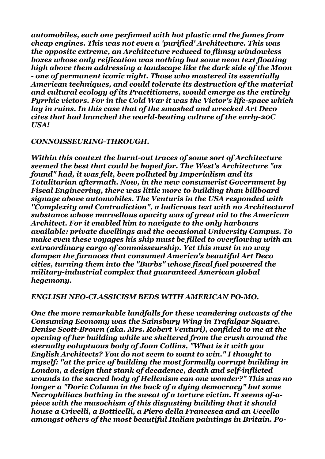*automobiles, each one perfumed with hot plastic and the fumes from cheap engines. This was not even a 'purified' Architecture. This was the opposite extreme, an Architecture reduced to flimsy windowless boxes whose only reification was nothing but some neon text floating high above them addressing a landscape like the dark side of the Moon - one of permanent iconic night. Those who mastered its essentially American techniques, and could tolerate its destruction of the material and cultural ecology of its Practitioners, would emerge as the entirely Pyrrhic victors. For in the Cold War it was the Victor's life-space which lay in ruins. In this case that of the smashed and wrecked Art Deco cites that had launched the world-beating culture of the early-20C USA!* 

#### *CONNOISSEURING-THROUGH.*

*Within this context the burnt-out traces of some sort of Architecture seemed the best that could be hoped for. The West's Architecture "as found" had, it was felt, been polluted by Imperialism and its Totalitarian aftermath. Now, in the new consumerist Government by Fiscal Engineering, there was little more to building than billboard signage above automobiles. The Venturis in the USA responded with "Complexity and Contradiction", a ludicrous text with no Architectural substance whose marvellous opacity was of great aid to the American Architect. For it enabled him to navigate to the only harbours available: private dwellings and the occasional University Campus. To make even these voyages his ship must be filled to overflowing with an extraordinary cargo of connoisseurship. Yet this must in no way dampen the furnaces that consumed America's beautiful Art Deco cities, turning them into the "Burbs" whose fiscal fuel powered the military-industrial complex that guaranteed American global hegemony.*

#### *ENGLISH NEO-CLASSICISM BEDS WITH AMERICAN PO-MO.*

*One the more remarkable landfalls for these wandering outcasts of the Consuming Economy was the Sainsbury Wing in Trafalgar Square. Denise Scott-Brown (aka. Mrs. Robert Venturi), confided to me at the opening of her building while we sheltered from the crush around the eternally voluptuous body of Joan Collins, "What is it with you English Architects? You do not seem to want to win." I thought to myself: "at the price of building the most formally corrupt building in London, a design that stank of decadence, death and self-inflicted wounds to the sacred body of Hellenism can one wonder?" This was no longer a "Doric Column in the back of a dying democracy" but some Necrophiliacs bathing in the sweat of a torture victim. It seems of-apiece with the masochism of this disgusting building that it should house a Crivelli, a Botticelli, a Piero della Francesca and an Uccello amongst others of the most beautiful Italian paintings in Britain. Po-*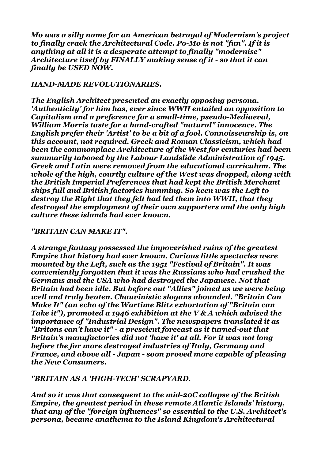*Mo was a silly name for an American betrayal of Modernism's project to finally crack the Architectural Code. Po-Mo is not "fun". If it is anything at all it is a desperate attempt to finally "modernise" Architecture itself by FINALLY making sense of it - so that it can finally be USED NOW.* 

#### *HAND-MADE REVOLUTIONARIES.*

*The English Architect presented an exactly opposing persona. 'Authenticity' for him has, ever since WWII entailed an opposition to Capitalism and a preference for a small-time, pseudo-Mediaeval, William Morris taste for a hand-crafted "natural" innocence. The English prefer their 'Artist' to be a bit of a fool. Connoisseurship is, on this account, not required. Greek and Roman Classicism, which had been the commonplace Architecture of the West for centuries had been summarily tabooed by the Labour Landslide Administration of 1945. Greek and Latin were removed from the educational curriculum. The whole of the high, courtly culture of the West was dropped, along with the British Imperial Preferences that had kept the British Merchant ships full and British factories humming. So keen was the Left to destroy the Right that they felt had led them into WWII, that they destroyed the employment of their own supporters and the only high culture these islands had ever known.*

#### *"BRITAIN CAN MAKE IT".*

*A strange fantasy possessed the impoverished ruins of the greatest Empire that history had ever known. Curious little spectacles were mounted by the Left, such as the 1951 "Festival of Britain". It was conveniently forgotten that it was the Russians who had crushed the Germans and the USA who had destroyed the Japanese. Not that Britain had been idle. But before out "Allies" joined us we were being well and truly beaten. Chauvinistic slogans abounded. "Britain Can Make It" (an echo of the Wartime Blitz exhortation of "Britain can Take it"), promoted a 1946 exhibition at the V & A which advised the importance of "Industrial Design". The newspapers translated it as "Britons can't have it" - a prescient forecast as it turned-out that Britain's manufactories did not 'have it' at all. For it was not long before the far more destroyed industries of Italy, Germany and France, and above all - Japan - soon proved more capable of pleasing the New Consumers.* 

#### *"BRITAIN AS A 'HIGH-TECH' SCRAPYARD.*

*And so it was that consequent to the mid-20C collapse of the British Empire, the greatest period in these remote Atlantic Islands' history, that any of the "foreign influences" so essential to the U.S. Architect's persona, became anathema to the Island Kingdom's Architectural*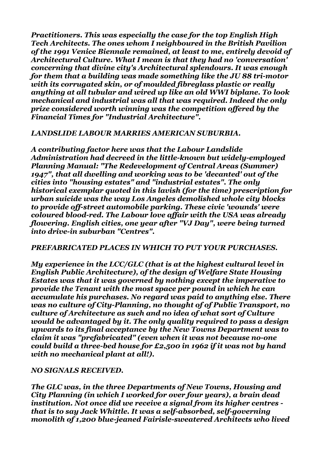*Practitioners. This was especially the case for the top English High Tech Architects. The ones whom I neighboured in the British Pavilion of the 1991 Venice Biennale remained, at least to me, entirely devoid of Architectural Culture. What I mean is that they had no 'conversation' concerning that divine city's Architectural splendours. It was enough for them that a building was made something like the JU 88 tri-motor with its corrugated skin, or of moulded fibreglass plastic or really anything at all tubular and wired up like an old WWI biplane. To look mechanical and industrial was all that was required. Indeed the only prize considered worth winning was the competition offered by the Financial Times for "Industrial Architecture".*

#### *LANDSLIDE LABOUR MARRIES AMERICAN SUBURBIA.*

*A contributing factor here was that the Labour Landslide Administration had decreed in the little-known but widely-employed Planning Manual: "The Redevelopment of Central Areas (Summer) 1947", that all dwelling and working was to be 'decanted' out of the cities into "housing estates" and "industrial estates". The only historical exemplar quoted in this lavish (for the time) prescription for urban suicide was the way Los Angeles demolished whole city blocks to provide off-street automobile parking. These civic 'wounds' were coloured blood-red. The Labour love affair with the USA was already flowering. English cities, one year after "VJ Day", were being turned into drive-in suburban "Centres".*

#### *PREFABRICATED PLACES IN WHICH TO PUT YOUR PURCHASES.*

*My experience in the LCC/GLC (that is at the highest cultural level in English Public Architecture), of the design of Welfare State Housing Estates was that it was governed by nothing except the imperative to provide the Tenant with the most space per pound in which he can accumulate his purchases. No regard was paid to anything else. There was no culture of City-Planning, no thought of of Public Transport, no culture of Architecture as such and no idea of what sort of Culture would be advantaged by it. The only quality required to pass a design upwards to its final acceptance by the New Towns Department was to claim it was "prefabricated" (even when it was not because no-one could build a three-bed house for £2,500 in 1962 if it was not by hand with no mechanical plant at all!).*

# *NO SIGNALS RECEIVED.*

*The GLC was, in the three Departments of New Towns, Housing and City Planning (in which I worked for over four years), a brain dead institution. Not once did we receive a signal from its higher centres that is to say Jack Whittle. It was a self-absorbed, self-governing monolith of 1,200 blue-jeaned Fairisle-sweatered Architects who lived*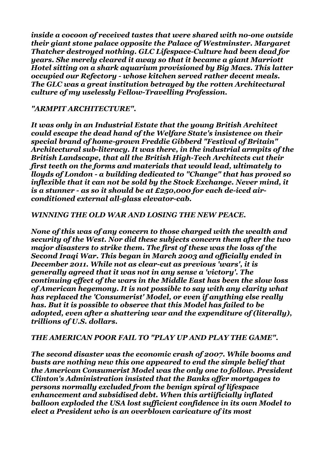*inside a cocoon of received tastes that were shared with no-one outside their giant stone palace opposite the Palace of Westminster. Margaret Thatcher destroyed nothing. GLC Lifespace-Culture had been dead for years. She merely cleared it away so that it became a giant Marriott Hotel sitting on a shark aquarium provisioned by Big Macs. This latter occupied our Refectory - whose kitchen served rather decent meals. The GLC was a great institution betrayed by the rotten Architectural culture of my uselessly Fellow-Travelling Profession.*

# *"ARMPIT ARCHITECTURE".*

*It was only in an Industrial Estate that the young British Architect could escape the dead hand of the Welfare State's insistence on their special brand of home-grown Freddie Gibberd "Festival of Britain" Architectural sub-literacy. It was there, in the industrial armpits of the British Landscape, that all the British High-Tech Architects cut their first teeth on the forms and materials that would lead, ultimately to lloyds of London - a building dedicated to "Change" that has proved so inflexible that it can not be sold by the Stock Exchange. Never mind, it is a stunner - as so it should be at £250,000 for each de-iced airconditioned external all-glass elevator-cab.* 

# *WINNING THE OLD WAR AND LOSING THE NEW PEACE.*

*None of this was of any concern to those charged with the wealth and security of the West. Nor did these subjects concern them after the two major disasters to strike them. The first of these was the loss of the Second Iraqi War. This began in March 2003 and officially ended in December 2011. While not as clear-cut as previous 'wars', it is generally agreed that it was not in any sense a 'victory'. The continuing effect of the wars in the Middle East has been the slow loss of American hegemony. It is not possible to say with any clarity what has replaced the 'Consumerist' Model, or even if anything else really has. But it is possible to observe that this Model has failed to be adopted, even after a shattering war and the expenditure of (literally), trillions of U.S. dollars.*

# *THE AMERICAN POOR FAIL TO "PLAY UP AND PLAY THE GAME".*

*The second disaster was the economic crash of 2007. While booms and busts are nothing new this one appeared to end the simple belief that the American Consumerist Model was the only one to follow. President Clinton's Administration insisted that the Banks offer mortgages to persons normally excluded from the benign spiral of lifespace enhancement and subsidised debt. When this artiificially inflated balloon exploded the USA lost sufficient confidence in its own Model to elect a President who is an overblown caricature of its most*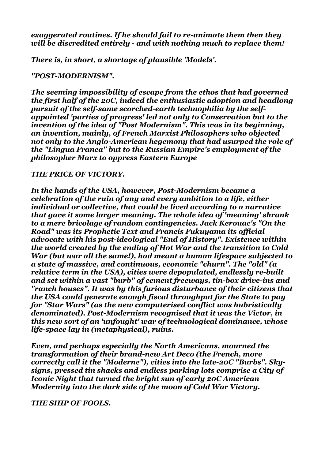## *exaggerated routines. If he should fail to re-animate them then they will be discredited entirely - and with nothing much to replace them!*

*There is, in short, a shortage of plausible 'Models'.* 

## *"POST-MODERNISM".*

*The seeming impossibility of escape from the ethos that had governed the first half of the 20C, indeed the enthusiastic adoption and headlong pursuit of the self-same scorched-earth technophilia by the selfappointed 'parties of progress' led not only to Conservation but to the invention of the idea of "Post Modernism". This was in its beginning, an invention, mainly, of French Marxist Philosophers who objected not only to the Anglo-American hegemony that had usurped the role of the "Lingua Franca" but to the Russian Empire's employment of the philosopher Marx to oppress Eastern Europe*

## *THE PRICE OF VICTORY.*

*In the hands of the USA, however, Post-Modernism became a celebration of the ruin of any and every ambition to a life, either individual or collective, that could be lived according to a narrative that gave it some larger meaning. The whole idea of 'meaning' shrank to a mere bricolage of random contingencies. Jack Kerouac's "On the Road" was its Prophetic Text and Francis Fukuyama its official advocate with his post-ideological "End of History". Existence within the world created by the ending of Hot War and the transition to Cold War (but war all the same!), had meant a human lifespace subjected to a state of massive, and continuous, economic "churn". The "old" (a relative term in the USA), cities were depopulated, endlessly re-built and set within a vast "burb" of cement freeways, tin-box drive-ins and "ranch houses". It was by this furious disturbance of their citizens that the USA could generate enough fiscal throughput for the State to pay for "Star Wars" (as the new computerised conflict was hubristically denominated). Post-Modernism recognised that it was the Victor, in this new sort of an 'unfought' war of technological dominance, whose life-space lay in (metaphysical), ruins.* 

*Even, and perhaps especially the North Americans, mourned the transformation of their brand-new Art Deco (the French, more correctly call it the "Moderne"), cities into the late-20C "Burbs". Skysigns, pressed tin shacks and endless parking lots comprise a City of Iconic Night that turned the bright sun of early 20C American Modernity into the dark side of the moon of Cold War Victory.*

*THE SHIP OF FOOLS.*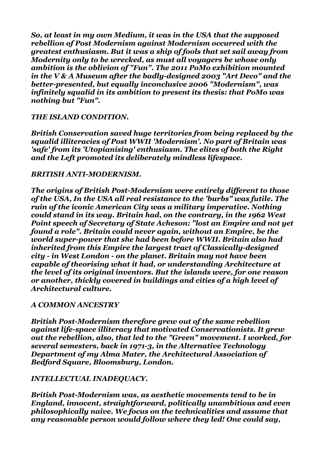*So, at least in my own Medium, it was in the USA that the supposed rebellion of Post Modernism against Modernism occurred with the greatest enthusiasm. But it was a ship of fools that set sail away from Modernity only to be wrecked, as must all voyagers be whose only ambition is the oblivion of "Fun". The 2011 PoMo exhibition mounted in the V & A Museum after the badly-designed 2003 "Art Deco" and the better-presented, but equally inconclusive 2006 "Modernism", was infinitely squalid in its ambition to present its thesis: that PoMo was nothing but "Fun".*

#### *THE ISLAND CONDITION.*

*British Conservation saved huge territories from being replaced by the squalid illiteracies of Post WWII 'Modernism'. No part of Britain was 'safe' from its 'Utopianising' enthusiasm. The elites of both the Right and the Left promoted its deliberately mindless lifespace.*

#### *BRITISH ANTI-MODERNISM.*

*The origins of British Post-Modernism were entirely different to those of the USA, In the USA all real resistance to the 'burbs" was futile. The ruin of the iconic American City was a military imperative. Nothing could stand in its way. Britain had, on the contrary, in the 1962 West Point speech of Secretary of State Acheson: "lost an Empire and not yet found a role". Britain could never again, without an Empire, be the world super-power that she had been before WWII. Britain also had inherited from this Empire the largest tract of Classically-designed city - in West London - on the planet. Britain may not have been capable of theorising what it had, or understanding Architecture at the level of its original inventors. But the islands were, for one reason or another, thickly covered in buildings and cities of a high level of Architectural culture.*

#### *A COMMON ANCESTRY*

*British Post-Modernism therefore grew out of the same rebellion against life-space illiteracy that motivated Conservationists. It grew out the rebellion, also, that led to the "Green" movement. I worked, for several semesters, back in 1971-3, in the Alternative Technology Department of my Alma Mater, the Architectural Association of Bedford Square, Bloomsbury, London.*

#### *INTELLECTUAL INADEQUACY.*

*British Post-Modernism was, as aesthetic movements tend to be in England, innocent, straightforward, politically unambitious and even philosophically naive. We focus on the technicalities and assume that any reasonable person would follow where they led! One could say,*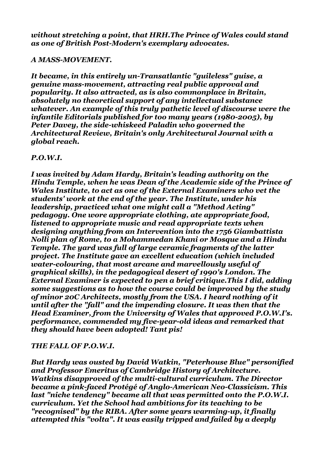*without stretching a point, that HRH.The Prince of Wales could stand as one of British Post-Modern's exemplary advocates.*

#### *A MASS-MOVEMENT.*

*It became, in this entirely un-Transatlantic "guileless" guise, a genuine mass-movement, attracting real public approval and popularity. It also attracted, as is also commonplace in Britain, absolutely no theoretical support of any intellectual substance whatever. An example of this truly pathetic level of discourse were the infantile Editorials published for too many years (1980-2005), by Peter Davey, the side-whiskeed Paladin who governed the Architectural Review, Britain's only Architectural Journal with a global reach.* 

## *P.O.W.I.*

*I was invited by Adam Hardy, Britain's leading authority on the Hindu Temple, when he was Dean of the Academic side of the Prince of Wales Institute, to act as one of the External Examiners who vet the students' work at the end of the year. The Institute, under his leadership, practiced what one might call a "Method Acting" pedagogy. One wore appropriate clothing, ate appropriate food, listened to appropriate music and read appropriate texts when designing anything from an Intervention into the 1756 Giambattista Nolli plan of Rome, to a Mohammedan Khani or Mosque and a Hindu Temple. The yard was full of large ceramic fragments of the latter project. The Institute gave an excellent education (which included water-colouring, that most arcane and marvellously useful of graphical skills), in the pedagogical desert of 1990's London. The External Examiner is expected to pen a brief critique.This I did, adding some suggestions as to how the course could be improved by the study of minor 20C Architects, mostly from the USA. I heard nothing of it until after the "fall" and the impending closure. It was then that the Head Examiner, from the University of Wales that approved P.O.W.I's. performance, commended my five-year-old ideas and remarked that they should have been adopted! Tant pis!*

# *THE FALL OF P.O.W.I.*

*But Hardy was ousted by David Watkin, "Peterhouse Blue" personified and Professor Emeritus of Cambridge History of Architecture. Watkins disapproved of the multi-cultural curriculum. The Director became a pink-faced Protégé of Anglo-American Neo-Classicism. This last "niche tendency" became all that was permitted onto the P.O.W.I. curriculum. Yet the School had ambitions for its teaching to be "recognised" by the RIBA. After some years warming-up, it finally attempted this "volta". It was easily tripped and failed by a deeply*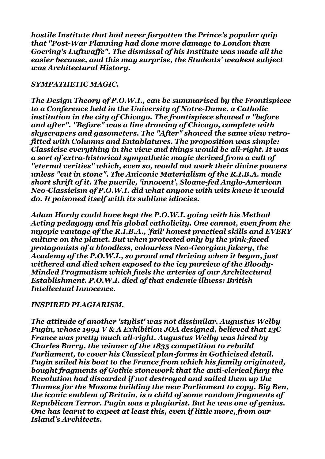*hostile Institute that had never forgotten the Prince's popular quip that "Post-War Planning had done more damage to London than Goering's Luftwaffe". The dismissal of his Institute was made all the easier because, and this may surprise, the Students' weakest subject was Architectural History.* 

#### *SYMPATHETIC MAGIC.*

*The Design Theory of P.O.W.I., can be summarised by the Frontispiece to a Conference held in the University of Notre-Dame. a Catholic institution in the city of Chicago. The frontispiece showed a "before and after". "Before" was a line drawing of Chicago, complete with skyscrapers and gasometers. The "After" showed the same view retrofitted with Columns and Entablatures. The proposition was simple: Classicise everything in the view and things would be all-right. It was a sort of extra-historical sympathetic magic derived from a cult of "eternal verities" which, even so, would not work their divine powers unless "cut in stone". The Aniconic Materialism of the R.I.B.A. made short shrift of it. The puerile, 'innocent', Sloane-fed Anglo-American Neo-Classicism of P.O.W.I. did what anyone with wits knew it would do. It poisoned itself with its sublime idiocies.*

*Adam Hardy could have kept the P.O.W.I. going with his Method Acting pedagogy and his global catholicity. One cannot, even from the myopic vantage of the R.I.B.A., 'fail' honest practical skills and EVERY culture on the planet. But when protected only by the pink-faced protagonists of a bloodless, colourless Neo-Georgian fakery, the Academy of the P.O.W.I., so proud and thriving when it began, just withered and died when exposed to the icy purview of the Bloody-Minded Pragmatism which fuels the arteries of our Architectural Establishment. P.O.W.I. died of that endemic illness: British Intellectual Innocence.*

# *INSPIRED PLAGIARISM.*

*The attitude of another 'stylist' was not dissimilar. Augustus Welby Pugin, whose 1994 V & A Exhibition JOA designed, believed that 13C France was pretty much all-right. Augustus Welby was hired by Charles Barry, the winner of the 1835 competition to rebuild Parliament, to cover his Classical plan-forms in Gothicised detail. Pugin sailed his boat to the France from which his family originated, bought fragments of Gothic stonework that the anti-clerical fury the Revolution had discarded if not destroyed and sailed them up the Thames for the Masons building the new Parliament to copy. Big Ben, the iconic emblem of Britain, is a child of some random fragments of Republican Terror. Pugin was a plagiarist. But he was one of genius. One has learnt to expect at least this, even if little more, from our Island's Architects.*